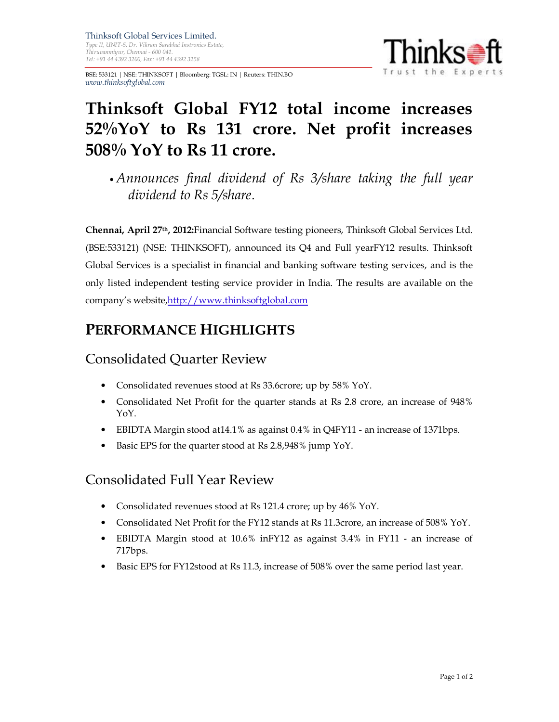Thinksoft Global Services Limited. Type II, UNIT-5, Dr. Vikram Sarabhai Instronics Estate, Thiruvanmiyur, Chennai - 600 041. Tel: +91 44 4392 3200, Fax: +91 44 4392 3258

BSE: 533121 | NSE: THINKSOFT | Bloomberg: TGSL: IN | Reuters: THIN.BO www.thinksoftglobal.com



# Thinksoft Global FY12 total income increases 52%YoY to Rs 131 crore. Net profit increases  $508\%$  YoY to Rs 11 crore.

• Announces final dividend of Rs 3/share taking the full year dividend to Rs 5/share.

Chennai, April 27<sup>th</sup>, 2012: Financial Software testing pioneers, Thinksoft Global Services Ltd. (BSE:533121) (NSE: THINKSOFT), announced its Q4 and Full yearFY12 results. Thinksoft Global Services is a specialist in financial and banking software testing services, and is the only listed independent testing service provider in India. The results are available on the company's website,http://www.thinksoftglobal.com

## PERFORMANCE HIGHLIGHTS

### Consolidated Quarter Review

- Consolidated revenues stood at Rs 33.6crore; up by 58% YoY.
- Consolidated Net Profit for the quarter stands at Rs 2.8 crore, an increase of 948% YoY.
- EBIDTA Margin stood at14.1% as against 0.4% in Q4FY11 an increase of 1371bps.
- Basic EPS for the quarter stood at Rs 2.8,948% jump YoY.

### Consolidated Full Year Review

- Consolidated revenues stood at Rs 121.4 crore; up by 46% YoY.
- Consolidated Net Profit for the FY12 stands at Rs 11.3crore, an increase of 508% YoY.
- EBIDTA Margin stood at 10.6% inFY12 as against 3.4% in FY11 an increase of 717bps.
- Basic EPS for FY12stood at Rs 11.3, increase of 508% over the same period last year.